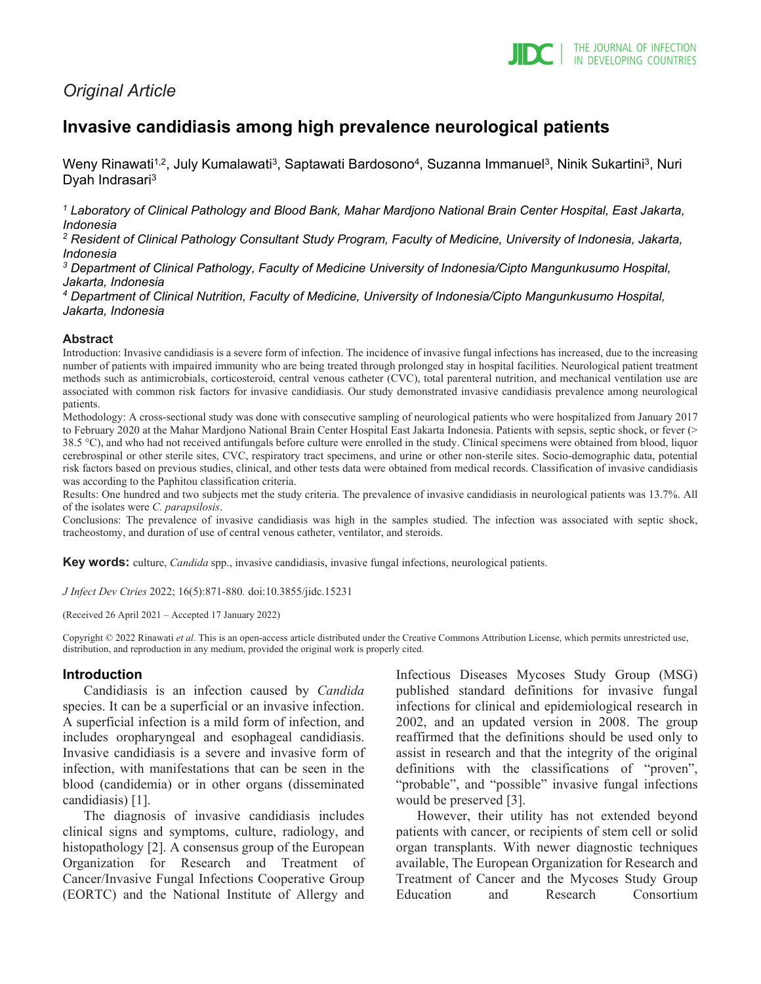

# *Original Article*

# **Invasive candidiasis among high prevalence neurological patients**

Weny Rinawati<sup>1,2</sup>, July Kumalawati<sup>3</sup>, Saptawati Bardosono<sup>4</sup>, Suzanna Immanuel<sup>3</sup>, Ninik Sukartini<sup>3</sup>, Nuri Dyah Indrasari<sup>3</sup>

*<sup>1</sup> Laboratory of Clinical Pathology and Blood Bank, Mahar Mardjono National Brain Center Hospital, East Jakarta, Indonesia*

*<sup>2</sup> Resident of Clinical Pathology Consultant Study Program, Faculty of Medicine, University of Indonesia, Jakarta, Indonesia*

*<sup>3</sup> Department of Clinical Pathology, Faculty of Medicine University of Indonesia/Cipto Mangunkusumo Hospital, Jakarta, Indonesia*

*<sup>4</sup> Department of Clinical Nutrition, Faculty of Medicine, University of Indonesia/Cipto Mangunkusumo Hospital, Jakarta, Indonesia*

#### **Abstract**

Introduction: Invasive candidiasis is a severe form of infection. The incidence of invasive fungal infections has increased, due to the increasing number of patients with impaired immunity who are being treated through prolonged stay in hospital facilities. Neurological patient treatment methods such as antimicrobials, corticosteroid, central venous catheter (CVC), total parenteral nutrition, and mechanical ventilation use are associated with common risk factors for invasive candidiasis. Our study demonstrated invasive candidiasis prevalence among neurological patients.

Methodology: A cross-sectional study was done with consecutive sampling of neurological patients who were hospitalized from January 2017 to February 2020 at the Mahar Mardjono National Brain Center Hospital East Jakarta Indonesia. Patients with sepsis, septic shock, or fever (> 38.5 °C), and who had not received antifungals before culture were enrolled in the study. Clinical specimens were obtained from blood, liquor cerebrospinal or other sterile sites, CVC, respiratory tract specimens, and urine or other non-sterile sites. Socio-demographic data, potential risk factors based on previous studies, clinical, and other tests data were obtained from medical records. Classification of invasive candidiasis was according to the Paphitou classification criteria.

Results: One hundred and two subjects met the study criteria. The prevalence of invasive candidiasis in neurological patients was 13.7%. All of the isolates were *C. parapsilosis*.

Conclusions: The prevalence of invasive candidiasis was high in the samples studied. The infection was associated with septic shock, tracheostomy, and duration of use of central venous catheter, ventilator, and steroids.

**Key words:** culture, *Candida* spp., invasive candidiasis, invasive fungal infections, neurological patients.

*J Infect Dev Ctries* 2022; 16(5):871-880*.* doi:10.3855/jidc.15231

(Received 26 April 2021 – Accepted 17 January 2022)

Copyright © 2022 Rinawati *et al*. This is an open-access article distributed under the Creative Commons Attribution License, which permits unrestricted use, distribution, and reproduction in any medium, provided the original work is properly cited.

### **Introduction**

Candidiasis is an infection caused by *Candida* species. It can be a superficial or an invasive infection. A superficial infection is a mild form of infection, and includes oropharyngeal and esophageal candidiasis. Invasive candidiasis is a severe and invasive form of infection, with manifestations that can be seen in the blood (candidemia) or in other organs (disseminated candidiasis) [1].

The diagnosis of invasive candidiasis includes clinical signs and symptoms, culture, radiology, and histopathology [2]. A consensus group of the European Organization for Research and Treatment of Cancer/Invasive Fungal Infections Cooperative Group (EORTC) and the National Institute of Allergy and

Infectious Diseases Mycoses Study Group (MSG) published standard definitions for invasive fungal infections for clinical and epidemiological research in 2002, and an updated version in 2008. The group reaffirmed that the definitions should be used only to assist in research and that the integrity of the original definitions with the classifications of "proven", "probable", and "possible" invasive fungal infections would be preserved [3].

However, their utility has not extended beyond patients with cancer, or recipients of stem cell or solid organ transplants. With newer diagnostic techniques available, The European Organization for Research and Treatment of Cancer and the Mycoses Study Group Education and Research Consortium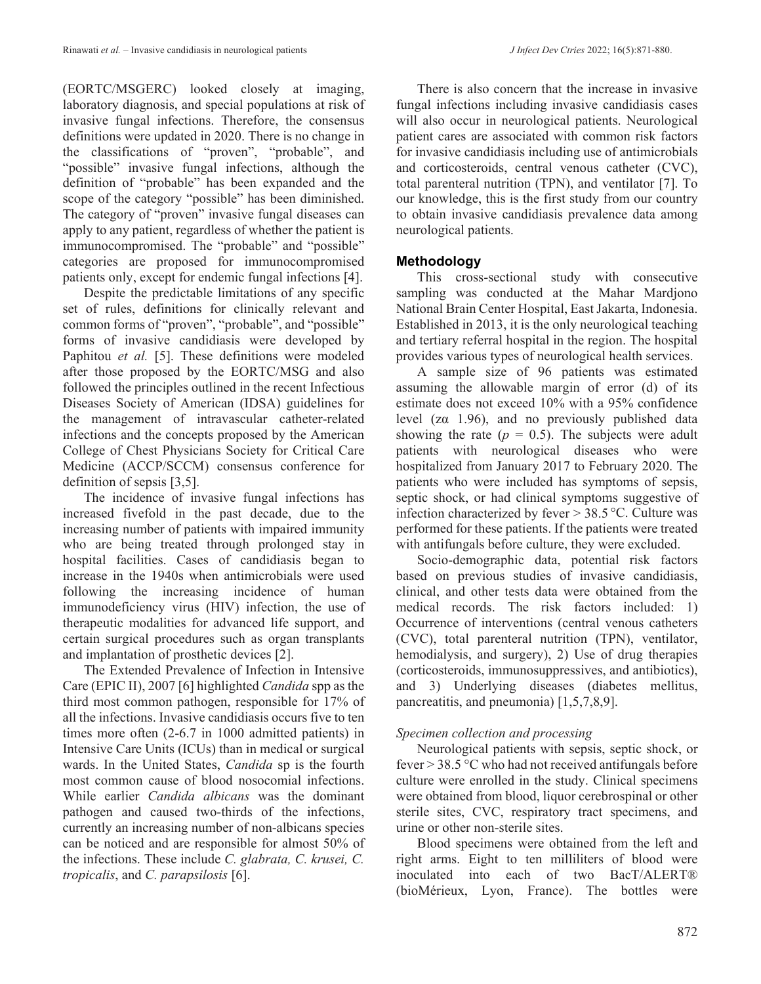(EORTC/MSGERC) looked closely at imaging, laboratory diagnosis, and special populations at risk of invasive fungal infections. Therefore, the consensus definitions were updated in 2020. There is no change in the classifications of "proven", "probable", and "possible" invasive fungal infections, although the definition of "probable" has been expanded and the scope of the category "possible" has been diminished. The category of "proven" invasive fungal diseases can apply to any patient, regardless of whether the patient is immunocompromised. The "probable" and "possible" categories are proposed for immunocompromised patients only, except for endemic fungal infections [4].

Despite the predictable limitations of any specific set of rules, definitions for clinically relevant and common forms of "proven", "probable", and "possible" forms of invasive candidiasis were developed by Paphitou *et al.* [5]. These definitions were modeled after those proposed by the EORTC/MSG and also followed the principles outlined in the recent Infectious Diseases Society of American (IDSA) guidelines for the management of intravascular catheter-related infections and the concepts proposed by the American College of Chest Physicians Society for Critical Care Medicine (ACCP/SCCM) consensus conference for definition of sepsis [3,5].

The incidence of invasive fungal infections has increased fivefold in the past decade, due to the increasing number of patients with impaired immunity who are being treated through prolonged stay in hospital facilities. Cases of candidiasis began to increase in the 1940s when antimicrobials were used following the increasing incidence of human immunodeficiency virus (HIV) infection, the use of therapeutic modalities for advanced life support, and certain surgical procedures such as organ transplants and implantation of prosthetic devices [2].

The Extended Prevalence of Infection in Intensive Care (EPIC II), 2007 [6] highlighted *Candida* spp as the third most common pathogen, responsible for 17% of all the infections. Invasive candidiasis occurs five to ten times more often (2-6.7 in 1000 admitted patients) in Intensive Care Units (ICUs) than in medical or surgical wards. In the United States, *Candida* sp is the fourth most common cause of blood nosocomial infections. While earlier *Candida albicans* was the dominant pathogen and caused two-thirds of the infections, currently an increasing number of non-albicans species can be noticed and are responsible for almost 50% of the infections. These include *C. glabrata, C. krusei, C. tropicalis*, and *C. parapsilosis* [6].

There is also concern that the increase in invasive fungal infections including invasive candidiasis cases will also occur in neurological patients. Neurological patient cares are associated with common risk factors for invasive candidiasis including use of antimicrobials and corticosteroids, central venous catheter (CVC), total parenteral nutrition (TPN), and ventilator [7]. To our knowledge, this is the first study from our country to obtain invasive candidiasis prevalence data among neurological patients.

## **Methodology**

This cross-sectional study with consecutive sampling was conducted at the Mahar Mardjono National Brain Center Hospital, East Jakarta, Indonesia. Established in 2013, it is the only neurological teaching and tertiary referral hospital in the region. The hospital provides various types of neurological health services.

A sample size of 96 patients was estimated assuming the allowable margin of error (d) of its estimate does not exceed 10% with a 95% confidence level (zα 1.96), and no previously published data showing the rate  $(p = 0.5)$ . The subjects were adult patients with neurological diseases who were hospitalized from January 2017 to February 2020. The patients who were included has symptoms of sepsis, septic shock, or had clinical symptoms suggestive of infection characterized by fever > 38.5 °C. Culture was performed for these patients. If the patients were treated with antifungals before culture, they were excluded.

Socio-demographic data, potential risk factors based on previous studies of invasive candidiasis, clinical, and other tests data were obtained from the medical records. The risk factors included: 1) Occurrence of interventions (central venous catheters (CVC), total parenteral nutrition (TPN), ventilator, hemodialysis, and surgery), 2) Use of drug therapies (corticosteroids, immunosuppressives, and antibiotics), and 3) Underlying diseases (diabetes mellitus, pancreatitis, and pneumonia) [1,5,7,8,9].

# *Specimen collection and processing*

Neurological patients with sepsis, septic shock, or fever  $>$  38.5 °C who had not received antifungals before culture were enrolled in the study. Clinical specimens were obtained from blood, liquor cerebrospinal or other sterile sites, CVC, respiratory tract specimens, and urine or other non-sterile sites.

Blood specimens were obtained from the left and right arms. Eight to ten milliliters of blood were inoculated into each of two BacT/ALERT® (bioMérieux, Lyon, France). The bottles were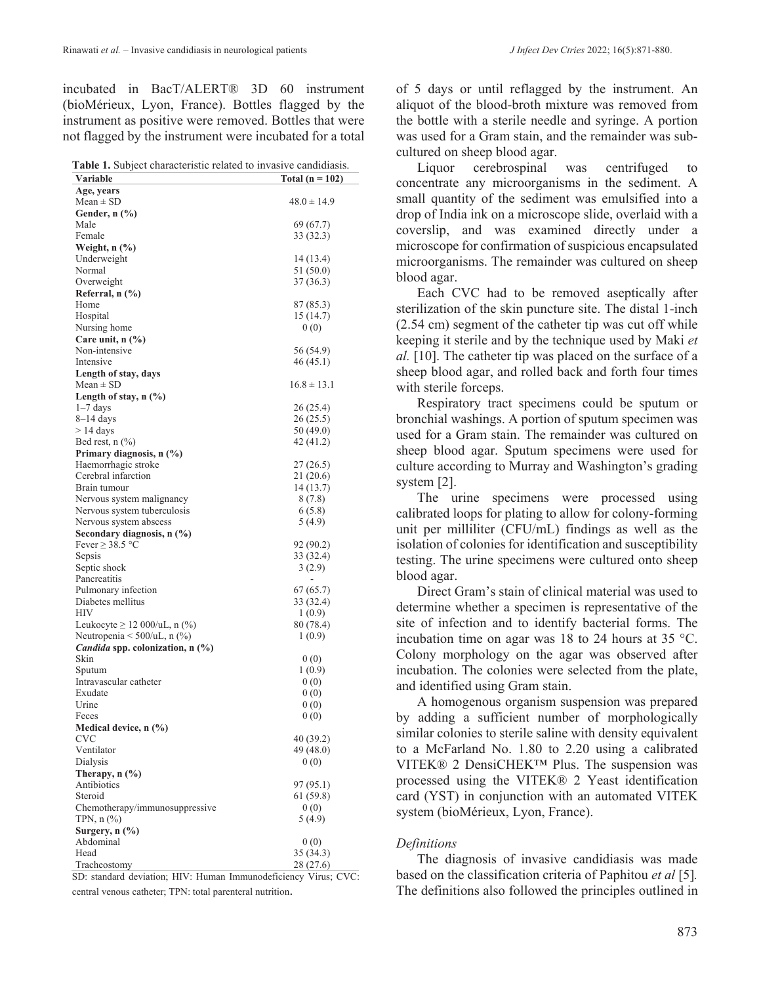incubated in BacT/ALERT® 3D 60 instrument (bioMérieux, Lyon, France). Bottles flagged by the instrument as positive were removed. Bottles that were not flagged by the instrument were incubated for a total

| <b>Table 1.</b> Subject characteristic related to invasive candidiasis. |                     |
|-------------------------------------------------------------------------|---------------------|
| Variable                                                                | Total ( $n = 102$ ) |
| Age, years                                                              |                     |
| $Mean \pm SD$                                                           | $48.0 \pm 14.9$     |
| Gender, $n$ $\left(\frac{9}{6}\right)$                                  |                     |
| Male                                                                    | 69 (67.7)           |
| Female                                                                  | 33 (32.3)           |
| Weight, n (%)                                                           |                     |
| Underweight                                                             | 14 (13.4)           |
| Normal                                                                  | 51 (50.0)           |
| Overweight                                                              | 37 (36.3)           |
| Referral, n (%)                                                         |                     |
| Home                                                                    | 87 (85.3)           |
| Hospital                                                                | 15 (14.7)           |
| Nursing home                                                            | 0(0)                |
| Care unit, $n$ $\left(\frac{9}{6}\right)$                               |                     |
| Non-intensive                                                           | 56 (54.9)           |
| Intensive                                                               | 46 (45.1)           |
| Length of stay, days                                                    |                     |
| $Mean \pm SD$                                                           | $16.8 \pm 13.1$     |
| Length of stay, $n$ (%)                                                 |                     |
| $1-7$ days                                                              | 26 (25.4)           |
| 8–14 days                                                               | 26 (25.5)           |
| $>$ 14 days                                                             | 50 (49.0)           |
| Bed rest, $n$ $(\%)$                                                    | 42 (41.2)           |
| Primary diagnosis, n (%)                                                |                     |
| Haemorrhagic stroke                                                     | 27 (26.5)           |
| Cerebral infarction                                                     | 21 (20.6)           |
| Brain tumour                                                            | 14 (13.7)           |
| Nervous system malignancy                                               | 8(7.8)              |
| Nervous system tuberculosis                                             | 6(5.8)              |
| Nervous system abscess                                                  | 5 (4.9)             |
| Secondary diagnosis, n (%)                                              |                     |
| Fever $\geq$ 38.5 °C                                                    | 92 (90.2)           |
| Sepsis                                                                  | 33 (32.4)           |
| Septic shock                                                            | 3(2.9)              |
| Pancreatitis                                                            |                     |
| Pulmonary infection                                                     | 67 (65.7)           |
| Diabetes mellitus<br><b>HIV</b>                                         | 33 (32.4)           |
| Leukocyte $\geq$ 12 000/uL, n (%)                                       | 1(0.9)              |
| Neutropenia $\leq 500/\text{uL}$ , n (%)                                | 80 (78.4)<br>1(0.9) |
| <i>Candida</i> spp. colonization, n (%)                                 |                     |
| Skin                                                                    | 0(0)                |
| Sputum                                                                  | 1(0.9)              |
| Intravascular catheter                                                  | 0(0)                |
| Exudate                                                                 | 0(0)                |
| Urine                                                                   | 0(0)                |
| Feces                                                                   | 0(0)                |
| Medical device, n (%)                                                   |                     |
| <b>CVC</b>                                                              | 40 (39.2)           |
| Ventilator                                                              | 49 (48.0)           |
| Dialysis                                                                | 0(0)                |
| Therapy, $n$ $(\%)$                                                     |                     |
| Antibiotics                                                             | 97 (95.1)           |
| Steroid                                                                 | 61(59.8)            |
| Chemotherapy/immunosuppressive                                          | 0(0)                |
| TPN, $n$ $(\%)$                                                         | 5(4.9)              |
| Surgery, $n$ $\left(\frac{9}{6}\right)$                                 |                     |
| Abdominal                                                               | 0(0)                |
| Head                                                                    | 35 (34.3)           |
| Tracheostomy                                                            | 28 (27.6)           |

SD: standard deviation; HIV: Human Immunodeficiency Virus; CVC: central venous catheter; TPN: total parenteral nutrition.

of 5 days or until reflagged by the instrument. An aliquot of the blood-broth mixture was removed from the bottle with a sterile needle and syringe. A portion was used for a Gram stain, and the remainder was subcultured on sheep blood agar.

Liquor cerebrospinal was centrifuged to concentrate any microorganisms in the sediment. A small quantity of the sediment was emulsified into a drop of India ink on a microscope slide, overlaid with a coverslip, and was examined directly under a microscope for confirmation of suspicious encapsulated microorganisms. The remainder was cultured on sheep blood agar.

Each CVC had to be removed aseptically after sterilization of the skin puncture site. The distal 1-inch (2.54 cm) segment of the catheter tip was cut off while keeping it sterile and by the technique used by Maki *et al.* [10]. The catheter tip was placed on the surface of a sheep blood agar, and rolled back and forth four times with sterile forceps.

Respiratory tract specimens could be sputum or bronchial washings. A portion of sputum specimen was used for a Gram stain. The remainder was cultured on sheep blood agar. Sputum specimens were used for culture according to Murray and Washington's grading system [2].

The urine specimens were processed using calibrated loops for plating to allow for colony-forming unit per milliliter (CFU/mL) findings as well as the isolation of colonies for identification and susceptibility testing. The urine specimens were cultured onto sheep blood agar.

Direct Gram's stain of clinical material was used to determine whether a specimen is representative of the site of infection and to identify bacterial forms. The incubation time on agar was 18 to 24 hours at 35 °C. Colony morphology on the agar was observed after incubation. The colonies were selected from the plate, and identified using Gram stain.

A homogenous organism suspension was prepared by adding a sufficient number of morphologically similar colonies to sterile saline with density equivalent to a McFarland No. 1.80 to 2.20 using a calibrated VITEK® 2 DensiCHEK™ Plus. The suspension was processed using the VITEK® 2 Yeast identification card (YST) in conjunction with an automated VITEK system (bioMérieux, Lyon, France).

#### *Definitions*

The diagnosis of invasive candidiasis was made based on the classification criteria of Paphitou *et al* [5]*.* The definitions also followed the principles outlined in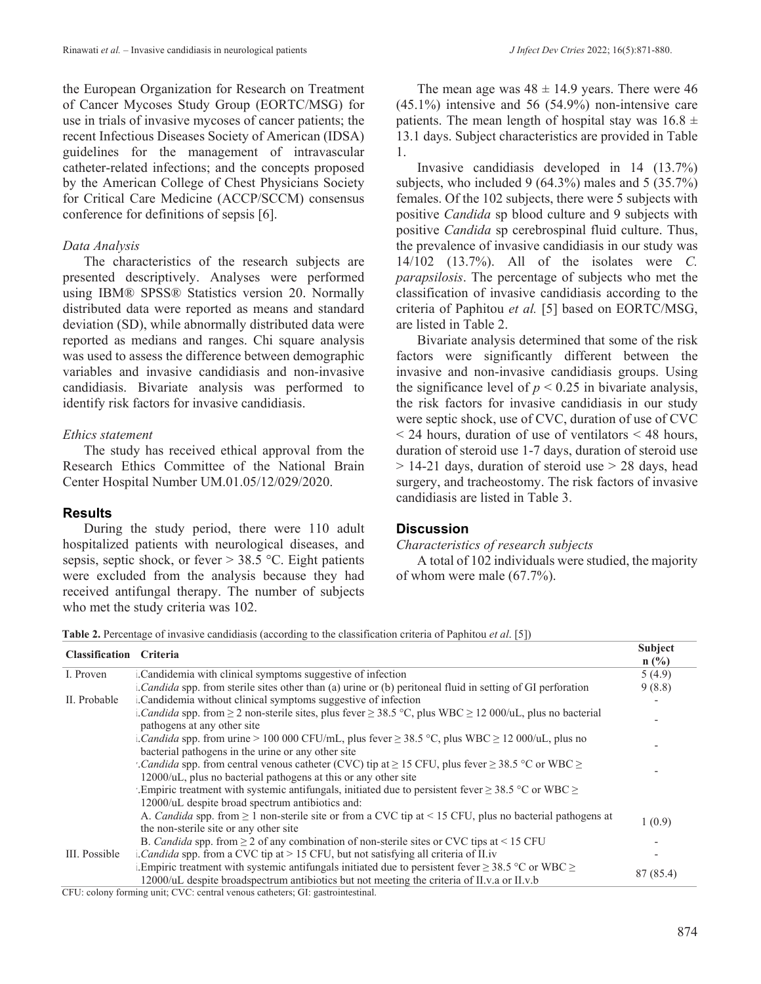the European Organization for Research on Treatment of Cancer Mycoses Study Group (EORTC/MSG) for use in trials of invasive mycoses of cancer patients; the recent Infectious Diseases Society of American (IDSA) guidelines for the management of intravascular catheter-related infections; and the concepts proposed by the American College of Chest Physicians Society for Critical Care Medicine (ACCP/SCCM) consensus conference for definitions of sepsis [6].

## *Data Analysis*

The characteristics of the research subjects are presented descriptively. Analyses were performed using IBM® SPSS® Statistics version 20. Normally distributed data were reported as means and standard deviation (SD), while abnormally distributed data were reported as medians and ranges. Chi square analysis was used to assess the difference between demographic variables and invasive candidiasis and non-invasive candidiasis. Bivariate analysis was performed to identify risk factors for invasive candidiasis.

## *Ethics statement*

The study has received ethical approval from the Research Ethics Committee of the National Brain Center Hospital Number UM.01.05/12/029/2020.

## **Results**

During the study period, there were 110 adult hospitalized patients with neurological diseases, and sepsis, septic shock, or fever  $> 38.5$  °C. Eight patients were excluded from the analysis because they had received antifungal therapy. The number of subjects who met the study criteria was 102.

The mean age was  $48 \pm 14.9$  years. There were 46 (45.1%) intensive and 56 (54.9%) non-intensive care patients. The mean length of hospital stay was  $16.8 \pm$ 13.1 days. Subject characteristics are provided in Table 1.

Invasive candidiasis developed in 14 (13.7%) subjects, who included 9 (64.3%) males and 5 (35.7%) females. Of the 102 subjects, there were 5 subjects with positive *Candida* sp blood culture and 9 subjects with positive *Candida* sp cerebrospinal fluid culture. Thus, the prevalence of invasive candidiasis in our study was 14/102 (13.7%). All of the isolates were *C. parapsilosis*. The percentage of subjects who met the classification of invasive candidiasis according to the criteria of Paphitou *et al.* [5] based on EORTC/MSG, are listed in Table 2.

Bivariate analysis determined that some of the risk factors were significantly different between the invasive and non-invasive candidiasis groups. Using the significance level of  $p < 0.25$  in bivariate analysis, the risk factors for invasive candidiasis in our study were septic shock, use of CVC, duration of use of CVC < 24 hours, duration of use of ventilators < 48 hours, duration of steroid use 1-7 days, duration of steroid use  $> 14-21$  days, duration of steroid use  $> 28$  days, head surgery, and tracheostomy. The risk factors of invasive candidiasis are listed in Table 3.

## **Discussion**

*Characteristics of research subjects*

A total of 102 individuals were studied, the majority of whom were male (67.7%).

**Table 2.** Percentage of invasive candidiasis (according to the classification criteria of Paphitou *et al*. [5])

| <b>Classification</b> Criteria |                                                                                                                                                               | <b>Subject</b> |
|--------------------------------|---------------------------------------------------------------------------------------------------------------------------------------------------------------|----------------|
|                                |                                                                                                                                                               | $n$ (%)        |
| I. Proven                      | Candidemia with clinical symptoms suggestive of infection                                                                                                     | 5(4.9)         |
|                                | Candida spp. from sterile sites other than (a) urine or (b) peritoneal fluid in setting of GI perforation                                                     | 9(8.8)         |
| II. Probable                   | Candidemia without clinical symptoms suggestive of infection                                                                                                  |                |
|                                | . Candida spp. from $\geq 2$ non-sterile sites, plus fever $\geq 38.5$ °C, plus WBC $\geq 12000/\text{uL}$ , plus no bacterial<br>pathogens at any other site |                |
|                                | . Candida spp. from urine > 100 000 CFU/mL, plus fever $\geq$ 38.5 °C, plus WBC $\geq$ 12 000/uL, plus no                                                     |                |
|                                | bacterial pathogens in the urine or any other site                                                                                                            |                |
|                                | <i>Candida</i> spp. from central venous catheter (CVC) tip at $\geq$ 15 CFU, plus fever $\geq$ 38.5 °C or WBC $\geq$                                          |                |
|                                | 12000/uL, plus no bacterial pathogens at this or any other site                                                                                               |                |
|                                | Empiric treatment with systemic antifungals, initiated due to persistent fever $\geq$ 38.5 °C or WBC $\geq$                                                   |                |
|                                | 12000/uL despite broad spectrum antibiotics and:                                                                                                              |                |
|                                | A. Candida spp. from $\geq 1$ non-sterile site or from a CVC tip at < 15 CFU, plus no bacterial pathogens at                                                  | 1(0.9)         |
|                                | the non-sterile site or any other site                                                                                                                        |                |
|                                | B. Candida spp. from $\geq 2$ of any combination of non-sterile sites or CVC tips at < 15 CFU                                                                 |                |
| III. Possible                  | <i>Candida</i> spp. from a CVC tip at $> 15$ CFU, but not satisfying all criteria of II.iv                                                                    |                |
|                                | Empiric treatment with systemic antifungals initiated due to persistent fever $\geq$ 38.5 °C or WBC $\geq$                                                    |                |
|                                | 12000/uL despite broadspectrum antibiotics but not meeting the criteria of II.v.a or II.v.b                                                                   | 87 (85.4)      |
|                                | $OPTI = I - C$ $U = U$ $C$                                                                                                                                    |                |

CFU: colony forming unit; CVC: central venous catheters; GI: gastrointestinal.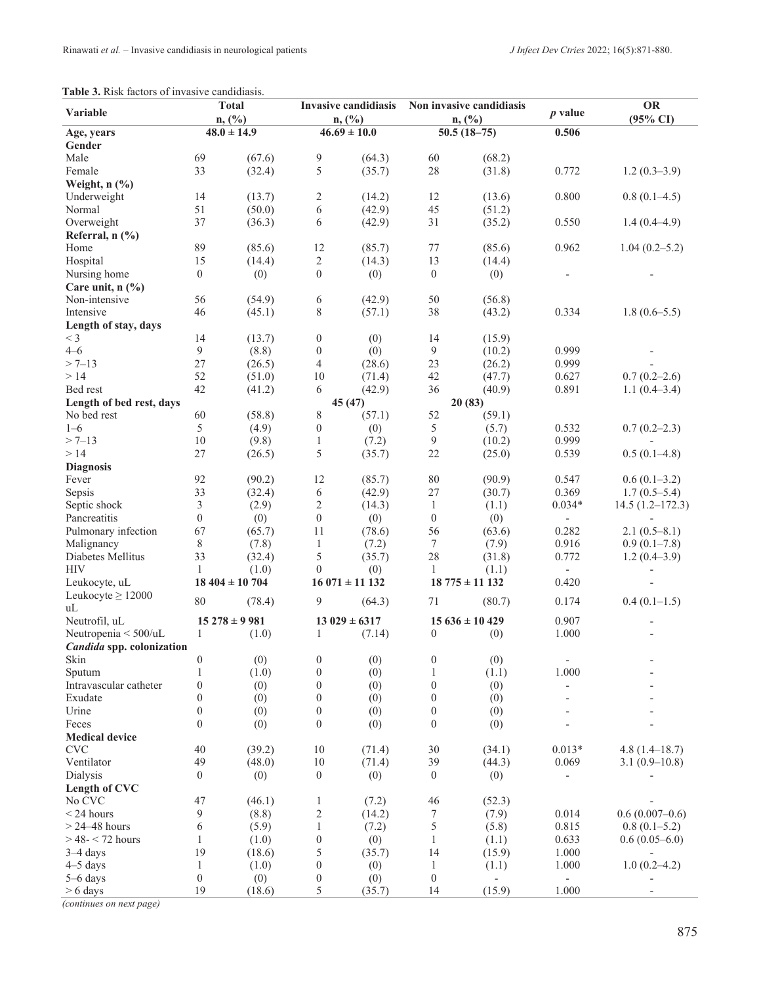#### **Table 3.** Risk factors of invasive candidiasis.

| Variable                                  | <b>Total</b><br>n, (%) |                   | <b>Invasive candidiasis</b><br>n, (%) |                   | Non invasive candidiasis<br>n, (%) |                          | $p$ value                | <b>OR</b>                |
|-------------------------------------------|------------------------|-------------------|---------------------------------------|-------------------|------------------------------------|--------------------------|--------------------------|--------------------------|
|                                           |                        |                   |                                       |                   |                                    |                          |                          | $(95\% \text{ CI})$      |
| Age, years                                | $48.0 \pm 14.9$        |                   | $46.69 \pm 10.0$                      |                   | $50.5(18-75)$                      |                          | 0.506                    |                          |
| Gender                                    |                        |                   |                                       |                   |                                    |                          |                          |                          |
| Male                                      | 69                     | (67.6)            | 9                                     | (64.3)            | 60                                 | (68.2)                   |                          |                          |
| Female                                    | 33                     | (32.4)            | 5                                     | (35.7)            | $28\,$                             | (31.8)                   | 0.772                    | $1.2(0.3-3.9)$           |
| Weight, $n$ $\left(\frac{0}{0}\right)$    |                        |                   |                                       |                   |                                    |                          |                          |                          |
| Underweight                               | 14                     | (13.7)            | 2                                     | (14.2)            | 12                                 | (13.6)                   | 0.800                    | $0.8(0.1-4.5)$           |
| Normal                                    | 51                     | (50.0)            | 6                                     | (42.9)            | 45                                 | (51.2)                   |                          |                          |
| Overweight                                | 37                     | (36.3)            | 6                                     | (42.9)            | 31                                 | (35.2)                   | 0.550                    | $1.4(0.4-4.9)$           |
| Referral, $n$ (%)                         |                        |                   |                                       |                   |                                    |                          |                          |                          |
| Home                                      | 89                     | (85.6)            | 12                                    | (85.7)            | 77                                 | (85.6)                   | 0.962                    | $1.04(0.2 - 5.2)$        |
| Hospital                                  | 15                     | (14.4)            | $\overline{c}$                        | (14.3)            | 13                                 | (14.4)                   |                          |                          |
| Nursing home                              | $\boldsymbol{0}$       | (0)               | $\boldsymbol{0}$                      | (0)               | $\boldsymbol{0}$                   | (0)                      |                          |                          |
| Care unit, $n$ $\left(\frac{9}{6}\right)$ |                        |                   |                                       |                   |                                    |                          |                          |                          |
| Non-intensive                             | 56                     | (54.9)            | 6                                     | (42.9)            | 50                                 | (56.8)                   |                          |                          |
| Intensive                                 | 46                     | (45.1)            | 8                                     | (57.1)            | 38                                 | (43.2)                   | 0.334                    | $1.8(0.6-5.5)$           |
| Length of stay, days                      |                        |                   |                                       |                   |                                    |                          |                          |                          |
| $<$ 3                                     | 14                     | (13.7)            | $\boldsymbol{0}$                      | (0)               | 14                                 | (15.9)                   |                          |                          |
| $4 - 6$                                   | 9                      | (8.8)             | $\boldsymbol{0}$                      | (0)               | 9                                  | (10.2)                   | 0.999                    |                          |
| $> 7 - 13$                                | 27                     | (26.5)            | $\overline{4}$                        | (28.6)            | 23                                 | (26.2)                   | 0.999                    |                          |
| >14                                       | 52                     | (51.0)            | 10                                    | (71.4)            | 42                                 | (47.7)                   | 0.627                    | $0.7(0.2-2.6)$           |
| Bed rest                                  | 42                     | (41.2)            | 6                                     | (42.9)            | 36                                 | (40.9)                   | 0.891                    | $1.1(0.4-3.4)$           |
| Length of bed rest, days                  |                        |                   |                                       | 45 (47)           |                                    | 20(83)                   |                          |                          |
| No bed rest                               | 60                     | (58.8)            | 8                                     | (57.1)            | 52                                 | (59.1)                   |                          |                          |
| $1 - 6$                                   | 5                      | (4.9)             | $\boldsymbol{0}$                      | (0)               | 5                                  | (5.7)                    | 0.532                    | $0.7(0.2-2.3)$           |
| $> 7 - 13$                                | 10                     | (9.8)             | $\mathbf{1}$                          | (7.2)             | 9                                  | (10.2)                   | 0.999                    |                          |
| >14                                       | 27                     | (26.5)            | 5                                     | (35.7)            | 22                                 | (25.0)                   | 0.539                    | $0.5(0.1-4.8)$           |
| <b>Diagnosis</b>                          |                        |                   |                                       |                   |                                    |                          |                          |                          |
| Fever                                     | 92                     | (90.2)            | 12                                    | (85.7)            | 80                                 | (90.9)                   | 0.547                    | $0.6(0.1-3.2)$           |
| Sepsis                                    | 33                     | (32.4)            | $\sqrt{6}$                            | (42.9)            | 27                                 | (30.7)                   | 0.369                    | $1.7(0.5-5.4)$           |
| Septic shock                              | 3                      | (2.9)             | $\sqrt{2}$                            | (14.3)            | $\mathbf{1}$                       | (1.1)                    | $0.034*$                 | $14.5(1.2 - 172.3)$      |
| Pancreatitis                              | $\boldsymbol{0}$       | (0)               | $\boldsymbol{0}$                      | (0)               | $\boldsymbol{0}$                   | (0)                      | $\frac{1}{2}$            |                          |
| Pulmonary infection                       | 67                     | (65.7)            | 11                                    | (78.6)            | 56                                 | (63.6)                   | 0.282                    | $2.1(0.5-8.1)$           |
| Malignancy                                | $\,$ $\,$              | (7.8)             | $\mathbf{1}$                          | (7.2)             | 7                                  | (7.9)                    | 0.916                    | $0.9(0.1-7.8)$           |
| Diabetes Mellitus                         | 33                     | (32.4)            | 5                                     | (35.7)            | 28                                 | (31.8)                   | 0.772                    | $1.2(0.4-3.9)$           |
| <b>HIV</b>                                | 1                      | (1.0)             | $\overline{0}$                        | (0)               | 1                                  | (1.1)                    | ÷,                       |                          |
| Leukocyte, uL                             |                        | $18404 \pm 10704$ |                                       | $16071 \pm 11132$ |                                    | $18775 \pm 11132$        | 0.420                    |                          |
| Leukocyte $\geq 12000$                    | 80                     | (78.4)            | 9                                     | (64.3)            | 71                                 | (80.7)                   | 0.174                    | $0.4(0.1-1.5)$           |
| uL                                        |                        |                   |                                       |                   |                                    |                          |                          |                          |
| Neutrofil, uL                             |                        | $15278 \pm 9981$  |                                       | $13.029 \pm 6317$ |                                    | $15636 \pm 10429$        | 0.907                    |                          |
| Neutropenia < 500/uL                      | 1                      | (1.0)             | $\mathbf{1}$                          | (7.14)            | $\mathbf{0}$                       | (0)                      | 1.000                    |                          |
| Candida spp. colonization                 |                        |                   |                                       |                   |                                    |                          |                          |                          |
| Skin                                      | $\boldsymbol{0}$       | (0)               | $\boldsymbol{0}$                      | (0)               | $\boldsymbol{0}$                   | (0)                      | $\overline{\phantom{a}}$ | $\overline{\phantom{a}}$ |
| Sputum                                    | $\mathbf{1}$           | (1.0)             | $\boldsymbol{0}$                      | (0)               | $\mathbf{1}$                       | (1.1)                    | 1.000                    |                          |
| Intravascular catheter                    | $\boldsymbol{0}$       | (0)               | $\boldsymbol{0}$                      | (0)               | $\boldsymbol{0}$                   | (0)                      |                          |                          |
| Exudate                                   | $\boldsymbol{0}$       | (0)               | $\boldsymbol{0}$                      | (0)               | $\boldsymbol{0}$                   | (0)                      |                          |                          |
| Urine                                     | $\boldsymbol{0}$       | (0)               | $\boldsymbol{0}$                      | (0)               | $\mathbf{0}$                       | (0)                      |                          |                          |
| Feces                                     | $\overline{0}$         | (0)               | $\boldsymbol{0}$                      | (0)               | $\theta$                           | (0)                      |                          |                          |
| <b>Medical device</b>                     |                        |                   |                                       |                   |                                    |                          |                          |                          |
| <b>CVC</b>                                | 40                     | (39.2)            | $10\,$                                | (71.4)            | 30                                 | (34.1)                   | $0.013*$                 | $4.8(1.4 - 18.7)$        |
| Ventilator                                | 49                     | (48.0)            | 10                                    | (71.4)            | 39                                 | (44.3)                   | 0.069                    | $3.1(0.9-10.8)$          |
| Dialysis                                  | $\boldsymbol{0}$       | (0)               | $\boldsymbol{0}$                      | (0)               | $\boldsymbol{0}$                   | (0)                      | $\overline{\phantom{0}}$ |                          |
| Length of CVC                             |                        |                   |                                       |                   |                                    |                          |                          |                          |
| No CVC                                    | 47                     | (46.1)            | $\mathbf{1}$                          | (7.2)             | 46                                 | (52.3)                   |                          |                          |
| $<$ 24 hours                              | 9                      | (8.8)             | $\overline{c}$                        | (14.2)            | 7                                  | (7.9)                    | 0.014                    | $0.6(0.007-0.6)$         |
| $> 24 - 48$ hours                         | 6                      | (5.9)             | $\mathbf{1}$                          | (7.2)             | 5                                  | (5.8)                    | 0.815                    | $0.8(0.1-5.2)$           |
| $>$ 48- $<$ 72 hours                      | $\mathbf{1}$           | (1.0)             | $\boldsymbol{0}$                      | (0)               | 1                                  | (1.1)                    | 0.633                    | $0.6(0.05-6.0)$          |
| $3-4$ days                                | 19                     | (18.6)            | 5                                     | (35.7)            | 14                                 | (15.9)                   | 1.000                    |                          |
| $4-5$ days                                | $\mathbf{1}$           | (1.0)             | $\boldsymbol{0}$                      | (0)               | $\mathbf{1}$                       | (1.1)                    | $1.000\,$                | $1.0(0.2 - 4.2)$         |
| 5-6 days                                  | $\boldsymbol{0}$       | (0)               | $\boldsymbol{0}$                      | (0)               | $\boldsymbol{0}$                   | $\overline{\phantom{a}}$ | $\overline{\phantom{a}}$ |                          |
| $> 6$ days                                | 19                     | (18.6)            | 5                                     | (35.7)            | 14                                 | (15.9)                   | 1.000                    |                          |

*(continues on next page)*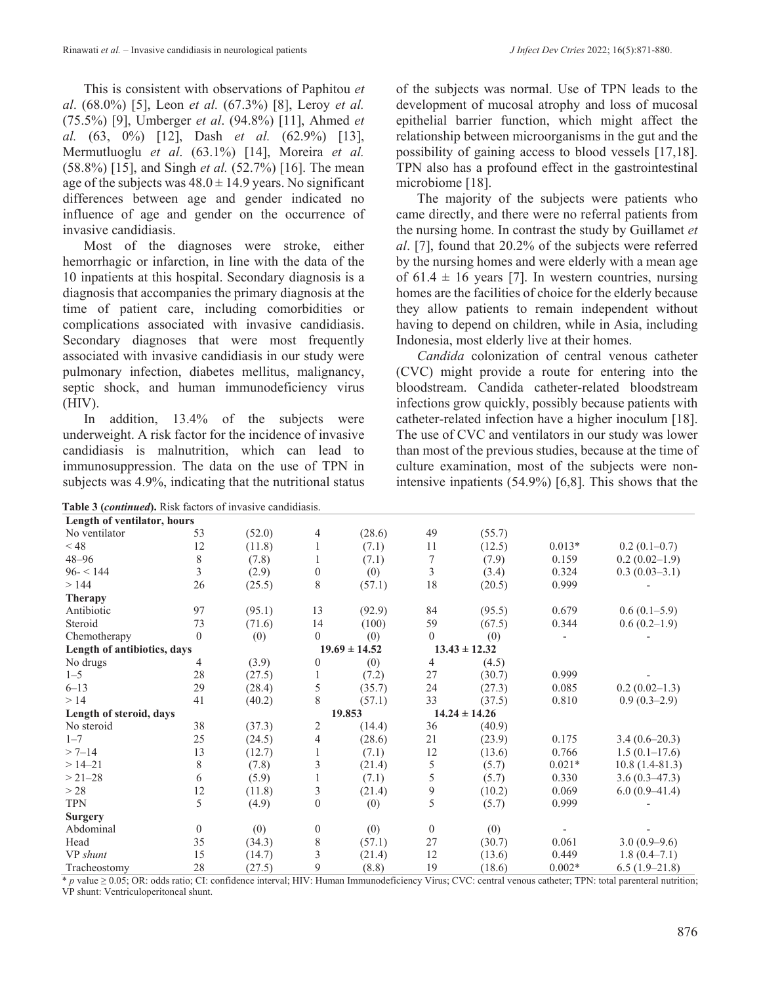This is consistent with observations of Paphitou *et al*. (68.0%) [5], Leon *et al.* (67.3%) [8], Leroy *et al.* (75.5%) [9], Umberger *et al*. (94.8%) [11], Ahmed *et al.* (63, 0%) [12], Dash *et al.* (62.9%) [13], Mermutluoglu *et al*. (63.1%) [14], Moreira *et al.* (58.8%) [15], and Singh *et al.* (52.7%) [16]. The mean age of the subjects was  $48.0 \pm 14.9$  years. No significant differences between age and gender indicated no influence of age and gender on the occurrence of invasive candidiasis.

Most of the diagnoses were stroke, either hemorrhagic or infarction, in line with the data of the 10 inpatients at this hospital. Secondary diagnosis is a diagnosis that accompanies the primary diagnosis at the time of patient care, including comorbidities or complications associated with invasive candidiasis. Secondary diagnoses that were most frequently associated with invasive candidiasis in our study were pulmonary infection, diabetes mellitus, malignancy, septic shock, and human immunodeficiency virus (HIV).

In addition, 13.4% of the subjects were underweight. A risk factor for the incidence of invasive candidiasis is malnutrition, which can lead to immunosuppression. The data on the use of TPN in subjects was 4.9%, indicating that the nutritional status

**Table 3 (***continued***).** Risk factors of invasive candidiasis.

of the subjects was normal. Use of TPN leads to the development of mucosal atrophy and loss of mucosal epithelial barrier function, which might affect the relationship between microorganisms in the gut and the possibility of gaining access to blood vessels [17,18]. TPN also has a profound effect in the gastrointestinal microbiome [18].

The majority of the subjects were patients who came directly, and there were no referral patients from the nursing home. In contrast the study by Guillamet *et al*. [7], found that 20.2% of the subjects were referred by the nursing homes and were elderly with a mean age of 61.4  $\pm$  16 years [7]. In western countries, nursing homes are the facilities of choice for the elderly because they allow patients to remain independent without having to depend on children, while in Asia, including Indonesia, most elderly live at their homes.

*Candida* colonization of central venous catheter (CVC) might provide a route for entering into the bloodstream. Candida catheter-related bloodstream infections grow quickly, possibly because patients with catheter-related infection have a higher inoculum [18]. The use of CVC and ventilators in our study was lower than most of the previous studies, because at the time of culture examination, most of the subjects were nonintensive inpatients (54.9%) [6,8]. This shows that the

| <b>rapic o (community, ixisk factors of invasive candidations</b> |                |        |                  |                   |                   |                   |          |                  |
|-------------------------------------------------------------------|----------------|--------|------------------|-------------------|-------------------|-------------------|----------|------------------|
| Length of ventilator, hours                                       |                |        |                  |                   |                   |                   |          |                  |
| No ventilator                                                     | 53             | (52.0) | 4                | (28.6)            | 49                | (55.7)            |          |                  |
| $<$ 48                                                            | 12             | (11.8) |                  | (7.1)             | 11                | (12.5)            | $0.013*$ | $0.2(0.1-0.7)$   |
| $48 - 96$                                                         | $8\,$          | (7.8)  | 1                | (7.1)             | 7                 | (7.9)             | 0.159    | $0.2(0.02-1.9)$  |
| $96 - 144$                                                        | $\overline{3}$ | (2.9)  | $\boldsymbol{0}$ | (0)               | 3                 | (3.4)             | 0.324    | $0.3(0.03-3.1)$  |
| >144                                                              | 26             | (25.5) | 8                | (57.1)            | 18                | (20.5)            | 0.999    |                  |
| <b>Therapy</b>                                                    |                |        |                  |                   |                   |                   |          |                  |
| Antibiotic                                                        | 97             | (95.1) | 13               | (92.9)            | 84                | (95.5)            | 0.679    | $0.6(0.1-5.9)$   |
| Steroid                                                           | 73             | (71.6) | 14               | (100)             | 59                | (67.5)            | 0.344    | $0.6(0.2-1.9)$   |
| Chemotherapy                                                      | $\mathbf{0}$   | (0)    | $\theta$         | (0)               | $\theta$          | (0)               |          |                  |
| Length of antibiotics, days                                       |                |        |                  | $19.69 \pm 14.52$ |                   | $13.43 \pm 12.32$ |          |                  |
| No drugs                                                          | 4              | (3.9)  | $\theta$         | (0)               | 4                 | (4.5)             |          |                  |
| $1 - 5$                                                           | 28             | (27.5) | 1                | (7.2)             | 27                | (30.7)            | 0.999    |                  |
| $6 - 13$                                                          | 29             | (28.4) | 5                | (35.7)            | 24                | (27.3)            | 0.085    | $0.2(0.02-1.3)$  |
| >14                                                               | 41             | (40.2) | 8                | (57.1)            | 33                | (37.5)            | 0.810    | $0.9(0.3-2.9)$   |
| Length of steroid, days                                           |                |        | 19.853           |                   | $14.24 \pm 14.26$ |                   |          |                  |
| No steroid                                                        | 38             | (37.3) | 2                | (14.4)            | 36                | (40.9)            |          |                  |
| $1 - 7$                                                           | 25             | (24.5) | 4                | (28.6)            | 21                | (23.9)            | 0.175    | $3.4(0.6-20.3)$  |
| $> 7 - 14$                                                        | 13             | (12.7) |                  | (7.1)             | 12                | (13.6)            | 0.766    | $1.5(0.1-17.6)$  |
| $>14-21$                                                          | $\,$ 8 $\,$    | (7.8)  | 3                | (21.4)            | 5                 | (5.7)             | $0.021*$ | $10.8(1.4-81.3)$ |
| $> 21 - 28$                                                       | 6              | (5.9)  |                  | (7.1)             | 5                 | (5.7)             | 0.330    | $3.6(0.3-47.3)$  |
| > 28                                                              | 12             | (11.8) | 3                | (21.4)            | 9                 | (10.2)            | 0.069    | $6.0(0.9-41.4)$  |
| <b>TPN</b>                                                        | 5              | (4.9)  | $\boldsymbol{0}$ | (0)               | 5                 | (5.7)             | 0.999    |                  |
| <b>Surgery</b>                                                    |                |        |                  |                   |                   |                   |          |                  |
| Abdominal                                                         | $\theta$       | (0)    | $\boldsymbol{0}$ | (0)               | $\theta$          | (0)               |          |                  |
| Head                                                              | 35             | (34.3) | $\,$ 8 $\,$      | (57.1)            | 27                | (30.7)            | 0.061    | $3.0(0.9-9.6)$   |
| VP shunt                                                          | 15             | (14.7) | $\overline{3}$   | (21.4)            | 12                | (13.6)            | 0.449    | $1.8(0.4 - 7.1)$ |
| Tracheostomy                                                      | 28             | (27.5) | 9                | (8.8)             | 19                | (18.6)            | $0.002*$ | $6.5(1.9-21.8)$  |

\* *p* value ≥ 0.05; OR: odds ratio; CI: confidence interval; HIV: Human Immunodeficiency Virus; CVC: central venous catheter; TPN: total parenteral nutrition; VP shunt: Ventriculoperitoneal shunt.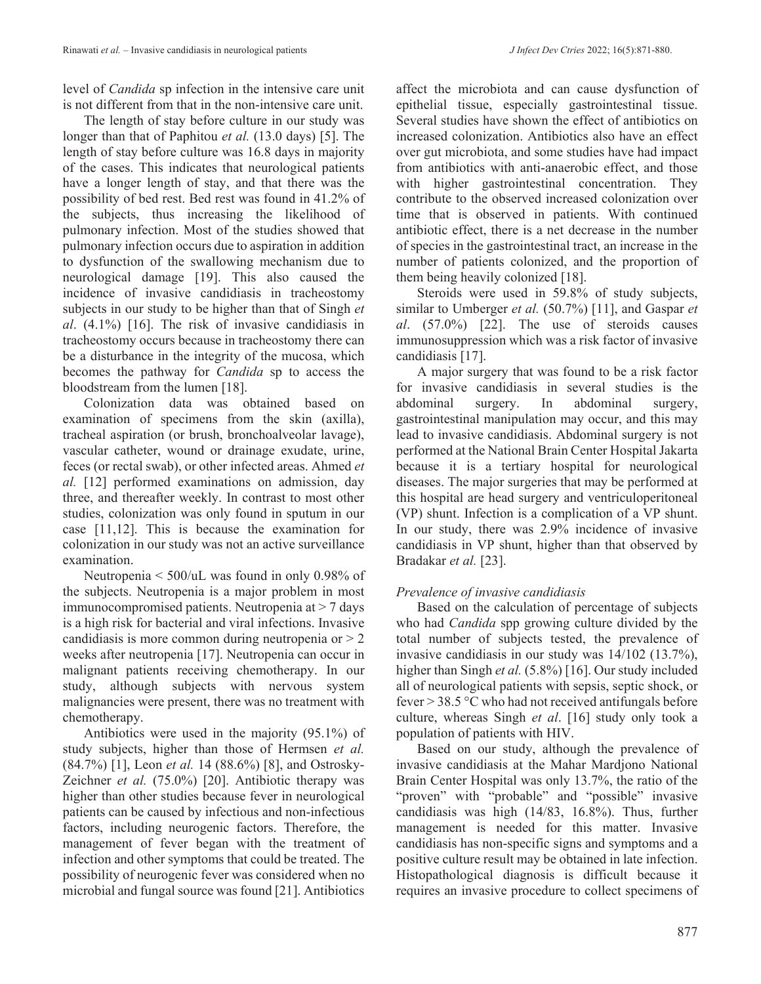level of *Candida* sp infection in the intensive care unit is not different from that in the non-intensive care unit.

The length of stay before culture in our study was longer than that of Paphitou *et al.* (13.0 days) [5]. The length of stay before culture was 16.8 days in majority of the cases. This indicates that neurological patients have a longer length of stay, and that there was the possibility of bed rest. Bed rest was found in 41.2% of the subjects, thus increasing the likelihood of pulmonary infection. Most of the studies showed that pulmonary infection occurs due to aspiration in addition to dysfunction of the swallowing mechanism due to neurological damage [19]. This also caused the incidence of invasive candidiasis in tracheostomy subjects in our study to be higher than that of Singh *et al*. (4.1%) [16]. The risk of invasive candidiasis in tracheostomy occurs because in tracheostomy there can be a disturbance in the integrity of the mucosa, which becomes the pathway for *Candida* sp to access the bloodstream from the lumen [18].

Colonization data was obtained based on examination of specimens from the skin (axilla), tracheal aspiration (or brush, bronchoalveolar lavage), vascular catheter, wound or drainage exudate, urine, feces (or rectal swab), or other infected areas. Ahmed *et al.* [12] performed examinations on admission, day three, and thereafter weekly. In contrast to most other studies, colonization was only found in sputum in our case [11,12]. This is because the examination for colonization in our study was not an active surveillance examination.

Neutropenia < 500/uL was found in only 0.98% of the subjects. Neutropenia is a major problem in most immunocompromised patients. Neutropenia at  $> 7$  days is a high risk for bacterial and viral infections. Invasive candidiasis is more common during neutropenia or  $> 2$ weeks after neutropenia [17]. Neutropenia can occur in malignant patients receiving chemotherapy. In our study, although subjects with nervous system malignancies were present, there was no treatment with chemotherapy.

Antibiotics were used in the majority (95.1%) of study subjects, higher than those of Hermsen *et al.* (84.7%) [1], Leon *et al.* 14 (88.6%) [8], and Ostrosky-Zeichner *et al.* (75.0%) [20]. Antibiotic therapy was higher than other studies because fever in neurological patients can be caused by infectious and non-infectious factors, including neurogenic factors. Therefore, the management of fever began with the treatment of infection and other symptoms that could be treated. The possibility of neurogenic fever was considered when no microbial and fungal source was found [21]. Antibiotics

affect the microbiota and can cause dysfunction of epithelial tissue, especially gastrointestinal tissue. Several studies have shown the effect of antibiotics on increased colonization. Antibiotics also have an effect over gut microbiota, and some studies have had impact from antibiotics with anti-anaerobic effect, and those with higher gastrointestinal concentration. They contribute to the observed increased colonization over time that is observed in patients. With continued antibiotic effect, there is a net decrease in the number of species in the gastrointestinal tract, an increase in the number of patients colonized, and the proportion of them being heavily colonized [18].

Steroids were used in 59.8% of study subjects, similar to Umberger *et al.* (50.7%) [11], and Gaspar *et al*. (57.0%) [22]. The use of steroids causes immunosuppression which was a risk factor of invasive candidiasis [17].

A major surgery that was found to be a risk factor for invasive candidiasis in several studies is the abdominal surgery. In abdominal surgery, gastrointestinal manipulation may occur, and this may lead to invasive candidiasis. Abdominal surgery is not performed at the National Brain Center Hospital Jakarta because it is a tertiary hospital for neurological diseases. The major surgeries that may be performed at this hospital are head surgery and ventriculoperitoneal (VP) shunt. Infection is a complication of a VP shunt. In our study, there was 2.9% incidence of invasive candidiasis in VP shunt, higher than that observed by Bradakar *et al.* [23].

# *Prevalence of invasive candidiasis*

Based on the calculation of percentage of subjects who had *Candida* spp growing culture divided by the total number of subjects tested, the prevalence of invasive candidiasis in our study was 14/102 (13.7%), higher than Singh *et al.* (5.8%) [16]. Our study included all of neurological patients with sepsis, septic shock, or fever  $> 38.5$  °C who had not received antifungals before culture, whereas Singh *et al*. [16] study only took a population of patients with HIV.

Based on our study, although the prevalence of invasive candidiasis at the Mahar Mardjono National Brain Center Hospital was only 13.7%, the ratio of the "proven" with "probable" and "possible" invasive candidiasis was high (14/83, 16.8%). Thus, further management is needed for this matter. Invasive candidiasis has non-specific signs and symptoms and a positive culture result may be obtained in late infection. Histopathological diagnosis is difficult because it requires an invasive procedure to collect specimens of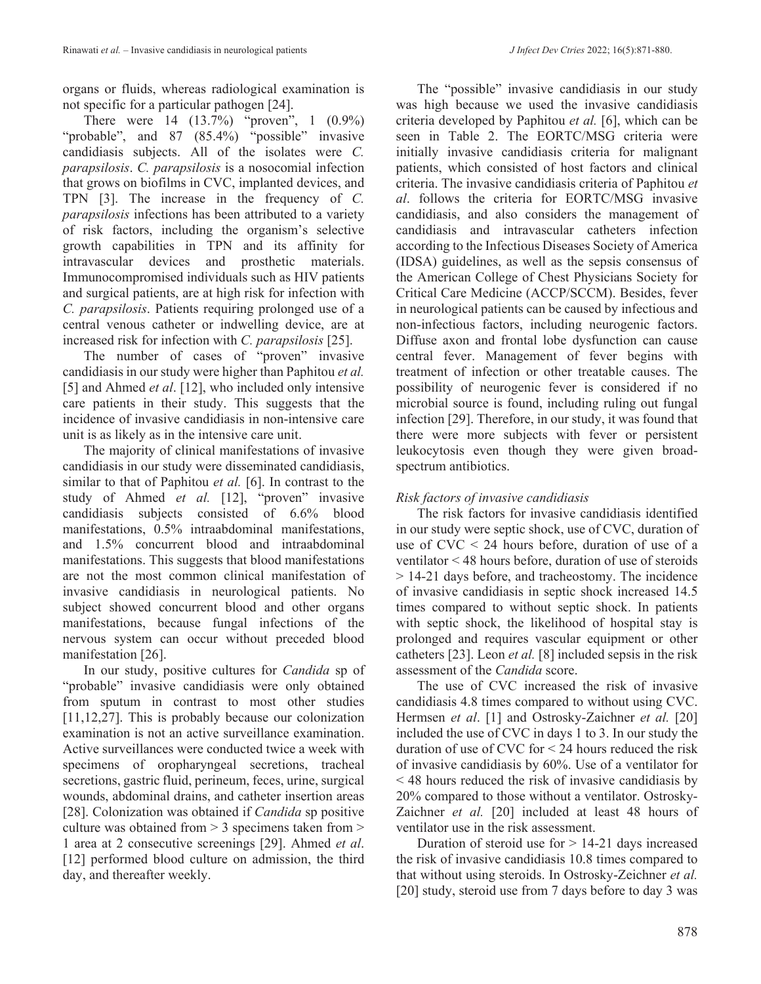organs or fluids, whereas radiological examination is not specific for a particular pathogen [24].

There were 14 (13.7%) "proven", 1 (0.9%) "probable", and 87 (85.4%) "possible" invasive candidiasis subjects. All of the isolates were *C. parapsilosis*. *C. parapsilosis* is a nosocomial infection that grows on biofilms in CVC, implanted devices, and TPN [3]. The increase in the frequency of *C. parapsilosis* infections has been attributed to a variety of risk factors, including the organism's selective growth capabilities in TPN and its affinity for intravascular devices and prosthetic materials. Immunocompromised individuals such as HIV patients and surgical patients, are at high risk for infection with *C. parapsilosis*. Patients requiring prolonged use of a central venous catheter or indwelling device, are at increased risk for infection with *C. parapsilosis* [25].

The number of cases of "proven" invasive candidiasis in our study were higher than Paphitou *et al.* [5] and Ahmed *et al*. [12], who included only intensive care patients in their study. This suggests that the incidence of invasive candidiasis in non-intensive care unit is as likely as in the intensive care unit.

The majority of clinical manifestations of invasive candidiasis in our study were disseminated candidiasis, similar to that of Paphitou *et al.* [6]. In contrast to the study of Ahmed *et al.* [12], "proven" invasive candidiasis subjects consisted of 6.6% blood manifestations, 0.5% intraabdominal manifestations, and 1.5% concurrent blood and intraabdominal manifestations. This suggests that blood manifestations are not the most common clinical manifestation of invasive candidiasis in neurological patients. No subject showed concurrent blood and other organs manifestations, because fungal infections of the nervous system can occur without preceded blood manifestation [26].

In our study, positive cultures for *Candida* sp of "probable" invasive candidiasis were only obtained from sputum in contrast to most other studies [11,12,27]. This is probably because our colonization examination is not an active surveillance examination. Active surveillances were conducted twice a week with specimens of oropharyngeal secretions, tracheal secretions, gastric fluid, perineum, feces, urine, surgical wounds, abdominal drains, and catheter insertion areas [28]. Colonization was obtained if *Candida* sp positive culture was obtained from > 3 specimens taken from > 1 area at 2 consecutive screenings [29]. Ahmed *et al*. [12] performed blood culture on admission, the third day, and thereafter weekly.

The "possible" invasive candidiasis in our study was high because we used the invasive candidiasis criteria developed by Paphitou *et al.* [6], which can be seen in Table 2. The EORTC/MSG criteria were initially invasive candidiasis criteria for malignant patients, which consisted of host factors and clinical criteria. The invasive candidiasis criteria of Paphitou *et al*. follows the criteria for EORTC/MSG invasive candidiasis, and also considers the management of candidiasis and intravascular catheters infection according to the Infectious Diseases Society of America (IDSA) guidelines, as well as the sepsis consensus of the American College of Chest Physicians Society for Critical Care Medicine (ACCP/SCCM). Besides, fever in neurological patients can be caused by infectious and non-infectious factors, including neurogenic factors. Diffuse axon and frontal lobe dysfunction can cause central fever. Management of fever begins with treatment of infection or other treatable causes. The possibility of neurogenic fever is considered if no microbial source is found, including ruling out fungal infection [29]. Therefore, in our study, it was found that there were more subjects with fever or persistent leukocytosis even though they were given broadspectrum antibiotics.

## *Risk factors of invasive candidiasis*

The risk factors for invasive candidiasis identified in our study were septic shock, use of CVC, duration of use of  $CVC < 24$  hours before, duration of use of a ventilator < 48 hours before, duration of use of steroids > 14-21 days before, and tracheostomy. The incidence of invasive candidiasis in septic shock increased 14.5 times compared to without septic shock. In patients with septic shock, the likelihood of hospital stay is prolonged and requires vascular equipment or other catheters [23]. Leon *et al.* [8] included sepsis in the risk assessment of the *Candida* score.

The use of CVC increased the risk of invasive candidiasis 4.8 times compared to without using CVC. Hermsen *et al*. [1] and Ostrosky-Zaichner *et al.* [20] included the use of CVC in days 1 to 3. In our study the duration of use of CVC for < 24 hours reduced the risk of invasive candidiasis by 60%. Use of a ventilator for < 48 hours reduced the risk of invasive candidiasis by 20% compared to those without a ventilator. Ostrosky-Zaichner *et al.* [20] included at least 48 hours of ventilator use in the risk assessment.

Duration of steroid use for > 14-21 days increased the risk of invasive candidiasis 10.8 times compared to that without using steroids. In Ostrosky-Zeichner *et al.* [20] study, steroid use from 7 days before to day 3 was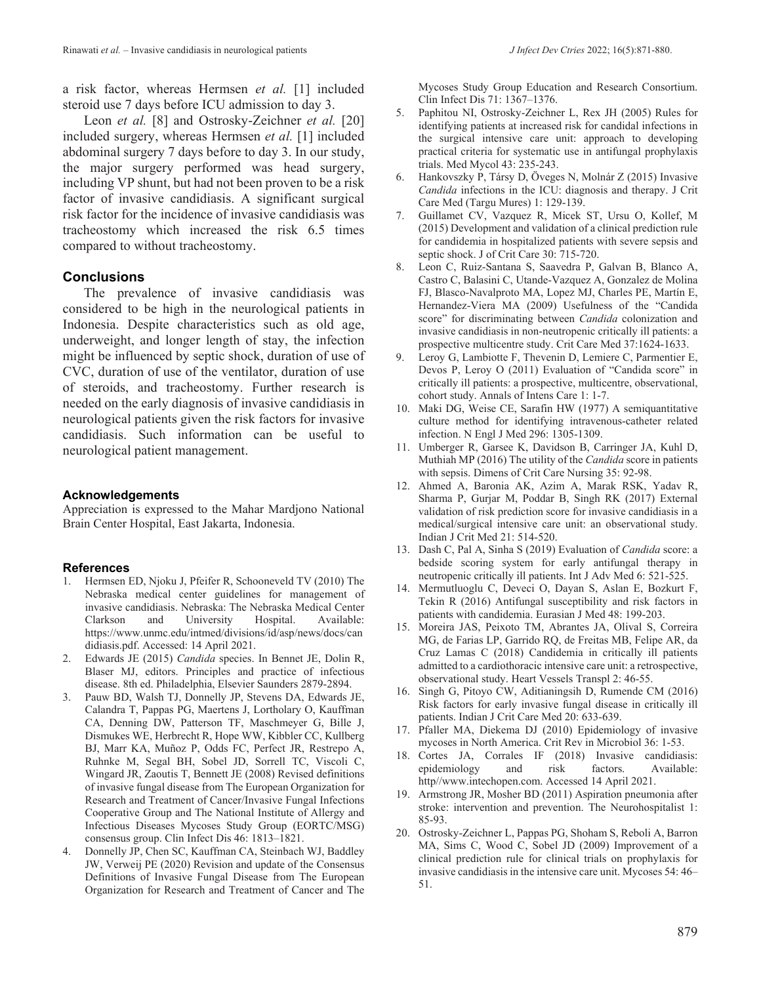a risk factor, whereas Hermsen *et al.* [1] included steroid use 7 days before ICU admission to day 3.

Leon *et al.* [8] and Ostrosky-Zeichner *et al.* [20] included surgery, whereas Hermsen *et al.* [1] included abdominal surgery 7 days before to day 3. In our study, the major surgery performed was head surgery, including VP shunt, but had not been proven to be a risk factor of invasive candidiasis. A significant surgical risk factor for the incidence of invasive candidiasis was tracheostomy which increased the risk 6.5 times compared to without tracheostomy.

## **Conclusions**

The prevalence of invasive candidiasis was considered to be high in the neurological patients in Indonesia. Despite characteristics such as old age, underweight, and longer length of stay, the infection might be influenced by septic shock, duration of use of CVC, duration of use of the ventilator, duration of use of steroids, and tracheostomy. Further research is needed on the early diagnosis of invasive candidiasis in neurological patients given the risk factors for invasive candidiasis. Such information can be useful to neurological patient management.

### **Acknowledgements**

Appreciation is expressed to the Mahar Mardjono National Brain Center Hospital, East Jakarta, Indonesia.

### **References**

- 1. Hermsen ED, Njoku J, Pfeifer R, Schooneveld TV (2010) The Nebraska medical center guidelines for management of invasive candidiasis. Nebraska: The Nebraska Medical Center Clarkson and University Hospital. Available: https://www.unmc.edu/intmed/divisions/id/asp/news/docs/can didiasis.pdf. Accessed: 14 April 2021.
- 2. Edwards JE (2015) *Candida* species. In Bennet JE, Dolin R, Blaser MJ, editors. Principles and practice of infectious disease. 8th ed. Philadelphia, Elsevier Saunders 2879-2894.
- 3. Pauw BD, Walsh TJ, Donnelly JP, Stevens DA, Edwards JE, Calandra T, Pappas PG, Maertens J, Lortholary O, Kauffman CA, Denning DW, Patterson TF, Maschmeyer G, Bille J, Dismukes WE, Herbrecht R, Hope WW, Kibbler CC, Kullberg BJ, Marr KA, Muñoz P, Odds FC, Perfect JR, Restrepo A, Ruhnke M, Segal BH, Sobel JD, Sorrell TC, Viscoli C, Wingard JR, Zaoutis T, Bennett JE (2008) Revised definitions of invasive fungal disease from The European Organization for Research and Treatment of Cancer/Invasive Fungal Infections Cooperative Group and The National Institute of Allergy and Infectious Diseases Mycoses Study Group (EORTC/MSG) consensus group. Clin Infect Dis 46: 1813–1821.
- 4. Donnelly JP, Chen SC, Kauffman CA, Steinbach WJ, Baddley JW, Verweij PE (2020) Revision and update of the Consensus Definitions of Invasive Fungal Disease from The European Organization for Research and Treatment of Cancer and The

Mycoses Study Group Education and Research Consortium. Clin Infect Dis 71: 1367–1376.

- 5. Paphitou NI, Ostrosky-Zeichner L, Rex JH (2005) Rules for identifying patients at increased risk for candidal infections in the surgical intensive care unit: approach to developing practical criteria for systematic use in antifungal prophylaxis trials. Med Mycol 43: 235-243.
- 6. Hankovszky P, Társy D, Öveges N, Molnár Z (2015) Invasive *Candida* infections in the ICU: diagnosis and therapy. J Crit Care Med (Targu Mures) 1: 129-139.
- 7. Guillamet CV, Vazquez R, Micek ST, Ursu O, Kollef, M (2015) Development and validation of a clinical prediction rule for candidemia in hospitalized patients with severe sepsis and septic shock. J of Crit Care 30: 715-720.
- 8. Leon C, Ruiz-Santana S, Saavedra P, Galvan B, Blanco A, Castro C, Balasini C, Utande-Vazquez A, Gonzalez de Molina FJ, Blasco-Navalproto MA, Lopez MJ, Charles PE, Martín E, Hernandez-Viera MA (2009) Usefulness of the "Candida score" for discriminating between *Candida* colonization and invasive candidiasis in non-neutropenic critically ill patients: a prospective multicentre study. Crit Care Med 37:1624-1633.
- 9. Leroy G, Lambiotte F, Thevenin D, Lemiere C, Parmentier E, Devos P, Leroy O (2011) Evaluation of "Candida score" in critically ill patients: a prospective, multicentre, observational, cohort study. Annals of Intens Care 1: 1-7.
- 10. Maki DG, Weise CE, Sarafin HW (1977) A semiquantitative culture method for identifying intravenous-catheter related infection. N Engl J Med 296: 1305-1309.
- 11. Umberger R, Garsee K, Davidson B, Carringer JA, Kuhl D, Muthiah MP (2016) The utility of the *Candida* score in patients with sepsis. Dimens of Crit Care Nursing 35: 92-98.
- 12. Ahmed A, Baronia AK, Azim A, Marak RSK, Yadav R, Sharma P, Gurjar M, Poddar B, Singh RK (2017) External validation of risk prediction score for invasive candidiasis in a medical/surgical intensive care unit: an observational study. Indian J Crit Med 21: 514-520.
- 13. Dash C, Pal A, Sinha S (2019) Evaluation of *Candida* score: a bedside scoring system for early antifungal therapy in neutropenic critically ill patients. Int J Adv Med 6: 521-525.
- 14. Mermutluoglu C, Deveci O, Dayan S, Aslan E, Bozkurt F, Tekin R (2016) Antifungal susceptibility and risk factors in patients with candidemia. Eurasian J Med 48: 199-203.
- 15. Moreira JAS, Peixoto TM, Abrantes JA, Olival S, Correira MG, de Farias LP, Garrido RQ, de Freitas MB, Felipe AR, da Cruz Lamas C (2018) Candidemia in critically ill patients admitted to a cardiothoracic intensive care unit: a retrospective, observational study. Heart Vessels Transpl 2: 46-55.
- 16. Singh G, Pitoyo CW, Aditianingsih D, Rumende CM (2016) Risk factors for early invasive fungal disease in critically ill patients. Indian J Crit Care Med 20: 633-639.
- 17. Pfaller MA, Diekema DJ (2010) Epidemiology of invasive mycoses in North America. Crit Rev in Microbiol 36: 1-53.
- 18. Cortes JA, Corrales IF (2018) Invasive candidiasis: epidemiology and risk factors. Available: http//www.intechopen.com. Accessed 14 April 2021.
- 19. Armstrong JR, Mosher BD (2011) Aspiration pneumonia after stroke: intervention and prevention. The Neurohospitalist 1: 85-93.
- 20. Ostrosky-Zeichner L, Pappas PG, Shoham S, Reboli A, Barron MA, Sims C, Wood C, Sobel JD (2009) Improvement of a clinical prediction rule for clinical trials on prophylaxis for invasive candidiasis in the intensive care unit. Mycoses 54: 46– 51.